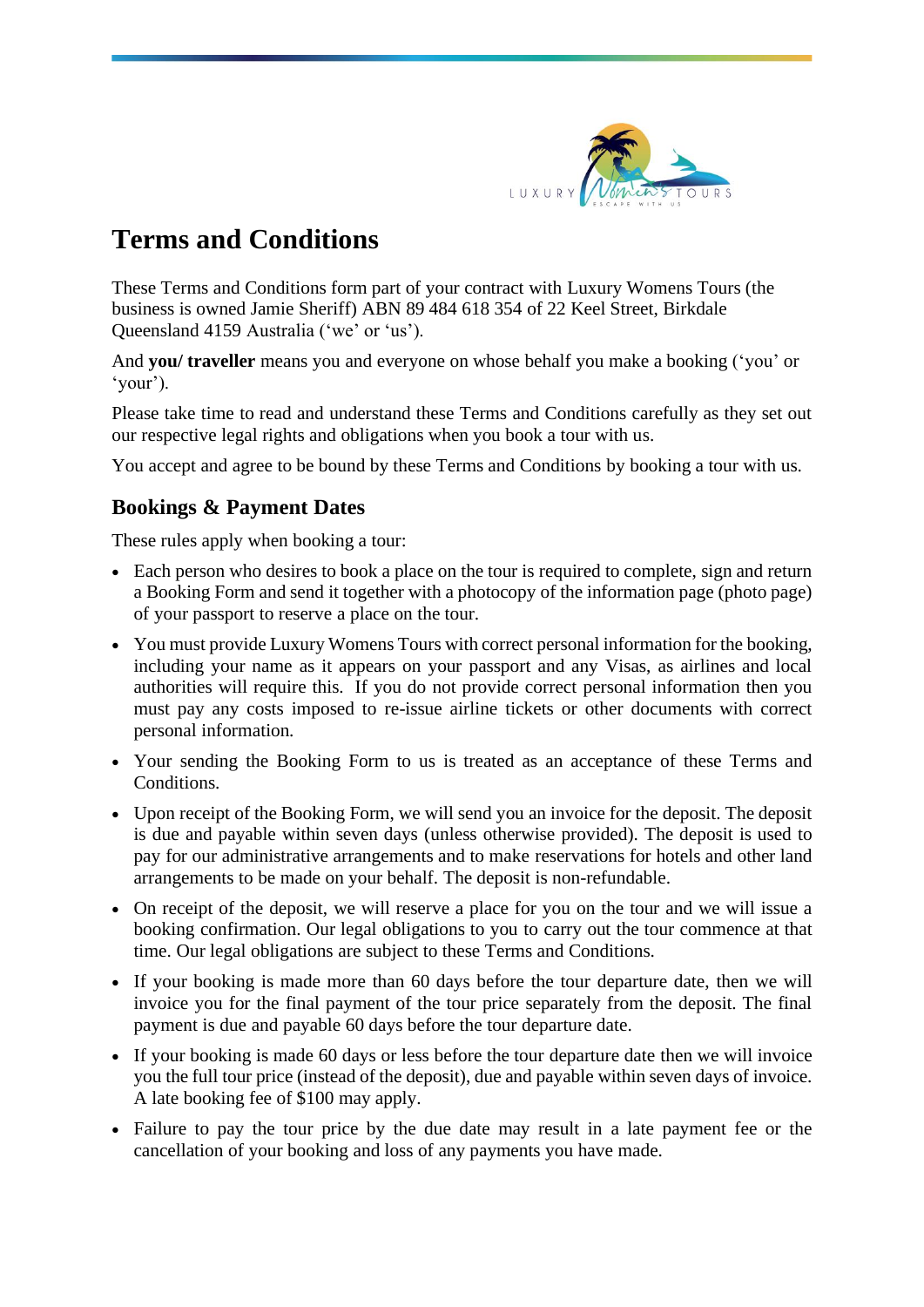

# **Terms and Conditions**

These Terms and Conditions form part of your contract with Luxury Womens Tours (the business is owned Jamie Sheriff) ABN 89 484 618 354 of 22 Keel Street, Birkdale Queensland 4159 Australia ('we' or 'us').

And **you/ traveller** means you and everyone on whose behalf you make a booking ('you' or 'your').

Please take time to read and understand these Terms and Conditions carefully as they set out our respective legal rights and obligations when you book a tour with us.

You accept and agree to be bound by these Terms and Conditions by booking a tour with us.

# **Bookings & Payment Dates**

These rules apply when booking a tour:

- Each person who desires to book a place on the tour is required to complete, sign and return a Booking Form and send it together with a photocopy of the information page (photo page) of your passport to reserve a place on the tour.
- You must provide Luxury Womens Tours with correct personal information for the booking, including your name as it appears on your passport and any Visas, as airlines and local authorities will require this. If you do not provide correct personal information then you must pay any costs imposed to re-issue airline tickets or other documents with correct personal information.
- Your sending the Booking Form to us is treated as an acceptance of these Terms and Conditions.
- Upon receipt of the Booking Form, we will send you an invoice for the deposit. The deposit is due and payable within seven days (unless otherwise provided). The deposit is used to pay for our administrative arrangements and to make reservations for hotels and other land arrangements to be made on your behalf. The deposit is non-refundable.
- On receipt of the deposit, we will reserve a place for you on the tour and we will issue a booking confirmation. Our legal obligations to you to carry out the tour commence at that time. Our legal obligations are subject to these Terms and Conditions.
- If your booking is made more than 60 days before the tour departure date, then we will invoice you for the final payment of the tour price separately from the deposit. The final payment is due and payable 60 days before the tour departure date.
- If your booking is made 60 days or less before the tour departure date then we will invoice you the full tour price (instead of the deposit), due and payable within seven days of invoice. A late booking fee of \$100 may apply.
- Failure to pay the tour price by the due date may result in a late payment fee or the cancellation of your booking and loss of any payments you have made.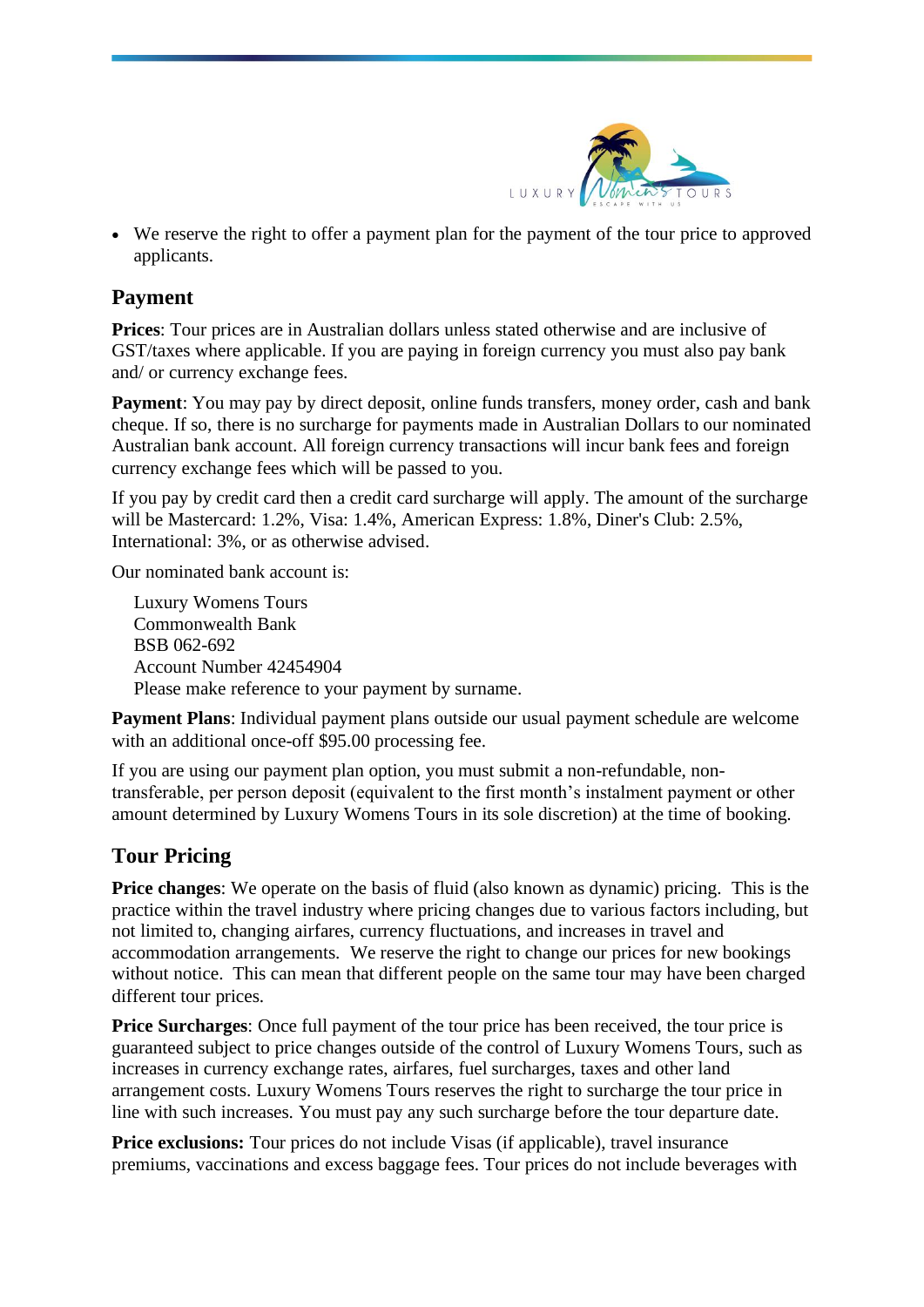

• We reserve the right to offer a payment plan for the payment of the tour price to approved applicants.

## **Payment**

**Prices**: Tour prices are in Australian dollars unless stated otherwise and are inclusive of GST/taxes where applicable. If you are paying in foreign currency you must also pay bank and/ or currency exchange fees.

**Payment**: You may pay by direct deposit, online funds transfers, money order, cash and bank cheque. If so, there is no surcharge for payments made in Australian Dollars to our nominated Australian bank account. All foreign currency transactions will incur bank fees and foreign currency exchange fees which will be passed to you.

If you pay by credit card then a credit card surcharge will apply. The amount of the surcharge will be Mastercard: 1.2%, Visa: 1.4%, American Express: 1.8%, Diner's Club: 2.5%, International: 3%, or as otherwise advised.

Our nominated bank account is:

Luxury Womens Tours Commonwealth Bank BSB 062-692 Account Number 42454904 Please make reference to your payment by surname.

**Payment Plans**: Individual payment plans outside our usual payment schedule are welcome with an additional once-off \$95.00 processing fee.

If you are using our payment plan option, you must submit a non-refundable, nontransferable, per person deposit (equivalent to the first month's instalment payment or other amount determined by Luxury Womens Tours in its sole discretion) at the time of booking.

# **Tour Pricing**

**Price changes**: We operate on the basis of fluid (also known as dynamic) pricing. This is the practice within the travel industry where pricing changes due to various factors including, but not limited to, changing airfares, currency fluctuations, and increases in travel and accommodation arrangements. We reserve the right to change our prices for new bookings without notice. This can mean that different people on the same tour may have been charged different tour prices.

**Price Surcharges**: Once full payment of the tour price has been received, the tour price is guaranteed subject to price changes outside of the control of Luxury Womens Tours, such as increases in currency exchange rates, airfares, fuel surcharges, taxes and other land arrangement costs. Luxury Womens Tours reserves the right to surcharge the tour price in line with such increases. You must pay any such surcharge before the tour departure date.

**Price exclusions:** Tour prices do not include Visas (if applicable), travel insurance premiums, vaccinations and excess baggage fees. Tour prices do not include beverages with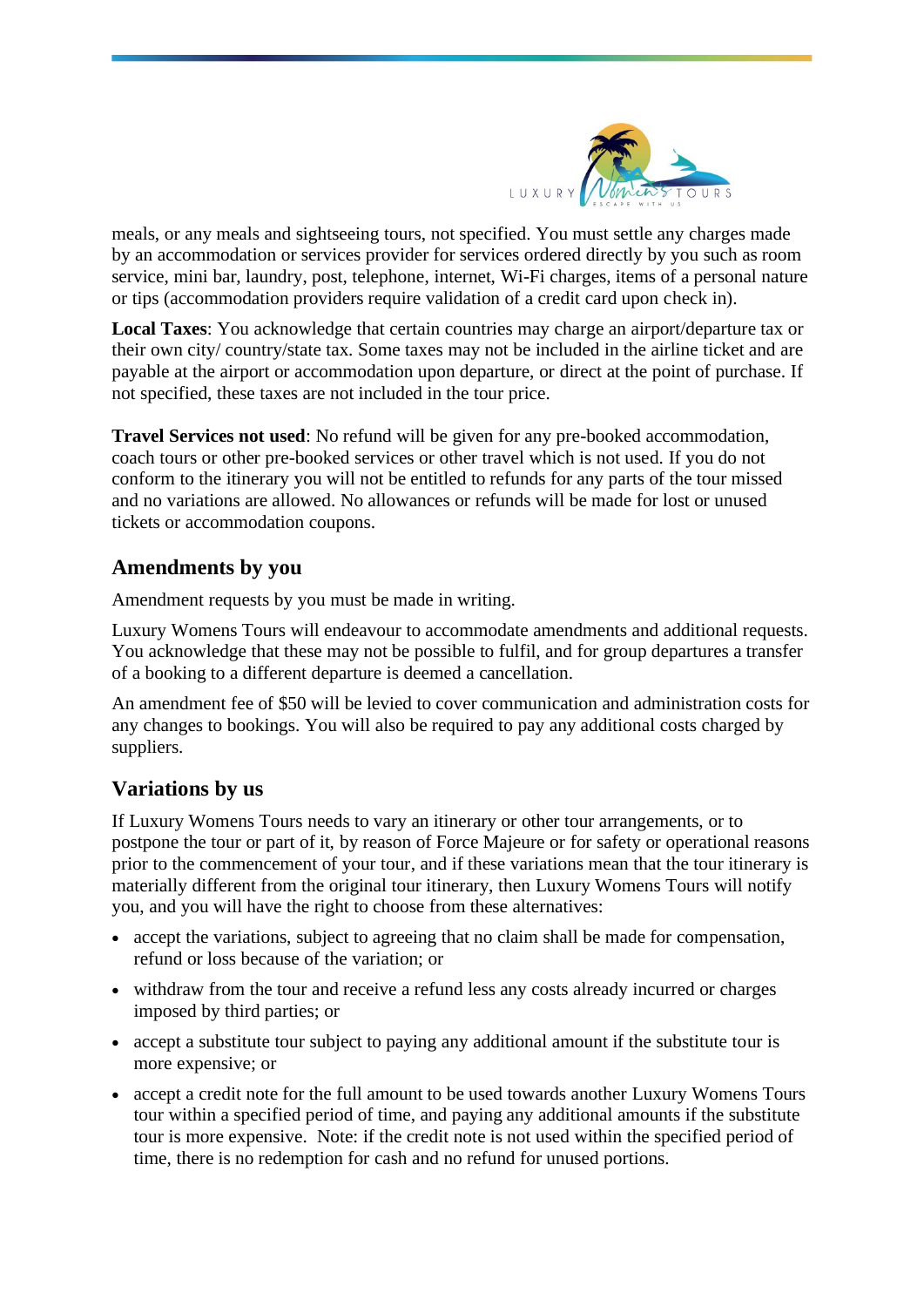

meals, or any meals and sightseeing tours, not specified. You must settle any charges made by an accommodation or services provider for services ordered directly by you such as room service, mini bar, laundry, post, telephone, internet, Wi-Fi charges, items of a personal nature or tips (accommodation providers require validation of a credit card upon check in).

**Local Taxes**: You acknowledge that certain countries may charge an airport/departure tax or their own city/ country/state tax. Some taxes may not be included in the airline ticket and are payable at the airport or accommodation upon departure, or direct at the point of purchase. If not specified, these taxes are not included in the tour price.

**Travel Services not used**: No refund will be given for any pre-booked accommodation, coach tours or other pre-booked services or other travel which is not used. If you do not conform to the itinerary you will not be entitled to refunds for any parts of the tour missed and no variations are allowed. No allowances or refunds will be made for lost or unused tickets or accommodation coupons.

#### **Amendments by you**

Amendment requests by you must be made in writing.

Luxury Womens Tours will endeavour to accommodate amendments and additional requests. You acknowledge that these may not be possible to fulfil, and for group departures a transfer of a booking to a different departure is deemed a cancellation.

An amendment fee of \$50 will be levied to cover communication and administration costs for any changes to bookings. You will also be required to pay any additional costs charged by suppliers.

## **Variations by us**

If Luxury Womens Tours needs to vary an itinerary or other tour arrangements, or to postpone the tour or part of it, by reason of Force Majeure or for safety or operational reasons prior to the commencement of your tour, and if these variations mean that the tour itinerary is materially different from the original tour itinerary, then Luxury Womens Tours will notify you, and you will have the right to choose from these alternatives:

- accept the variations, subject to agreeing that no claim shall be made for compensation, refund or loss because of the variation; or
- withdraw from the tour and receive a refund less any costs already incurred or charges imposed by third parties; or
- accept a substitute tour subject to paying any additional amount if the substitute tour is more expensive; or
- accept a credit note for the full amount to be used towards another Luxury Womens Tours tour within a specified period of time, and paying any additional amounts if the substitute tour is more expensive. Note: if the credit note is not used within the specified period of time, there is no redemption for cash and no refund for unused portions.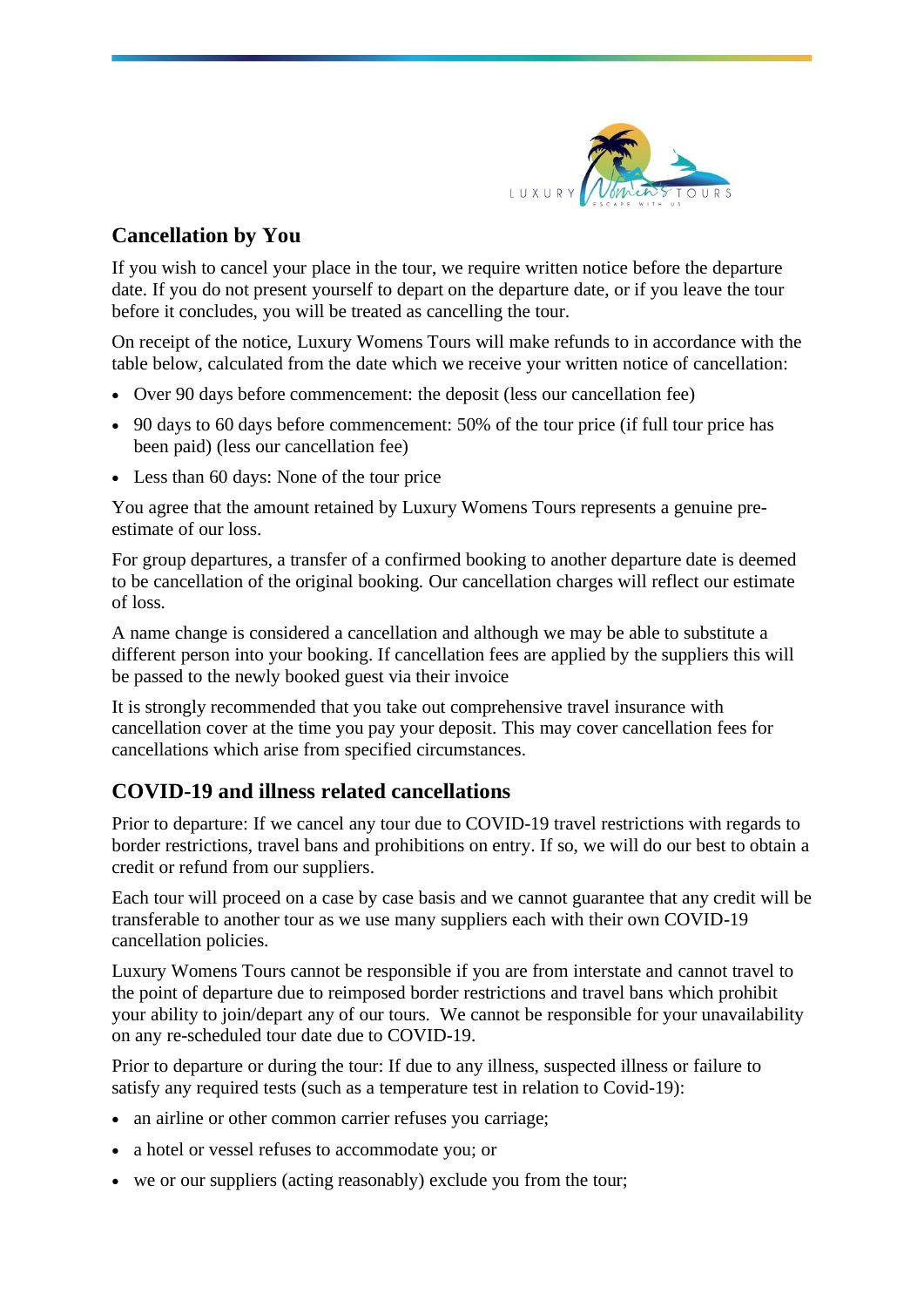

# **Cancellation by You**

If you wish to cancel your place in the tour, we require written notice before the departure date. If you do not present yourself to depart on the departure date, or if you leave the tour before it concludes, you will be treated as cancelling the tour.

On receipt of the notice, Luxury Womens Tours will make refunds to in accordance with the table below, calculated from the date which we receive your written notice of cancellation:

- Over 90 days before commencement: the deposit (less our cancellation fee)
- 90 days to 60 days before commencement: 50% of the tour price (if full tour price has been paid) (less our cancellation fee)
- Less than 60 days: None of the tour price

You agree that the amount retained by Luxury Womens Tours represents a genuine preestimate of our loss.

For group departures, a transfer of a confirmed booking to another departure date is deemed to be cancellation of the original booking. Our cancellation charges will reflect our estimate of loss.

A name change is considered a cancellation and although we may be able to substitute a different person into your booking. If cancellation fees are applied by the suppliers this will be passed to the newly booked guest via their invoice

It is strongly recommended that you take out comprehensive travel insurance with cancellation cover at the time you pay your deposit. This may cover cancellation fees for cancellations which arise from specified circumstances.

# **COVID-19 and illness related cancellations**

Prior to departure: If we cancel any tour due to COVID-19 travel restrictions with regards to border restrictions, travel bans and prohibitions on entry. If so, we will do our best to obtain a credit or refund from our suppliers.

Each tour will proceed on a case by case basis and we cannot guarantee that any credit will be transferable to another tour as we use many suppliers each with their own COVID-19 cancellation policies.

Luxury Womens Tours cannot be responsible if you are from interstate and cannot travel to the point of departure due to reimposed border restrictions and travel bans which prohibit your ability to join/depart any of our tours. We cannot be responsible for your unavailability on any re-scheduled tour date due to COVID-19.

Prior to departure or during the tour: If due to any illness, suspected illness or failure to satisfy any required tests (such as a temperature test in relation to Covid-19):

- an airline or other common carrier refuses you carriage:
- a hotel or vessel refuses to accommodate you; or
- we or our suppliers (acting reasonably) exclude you from the tour;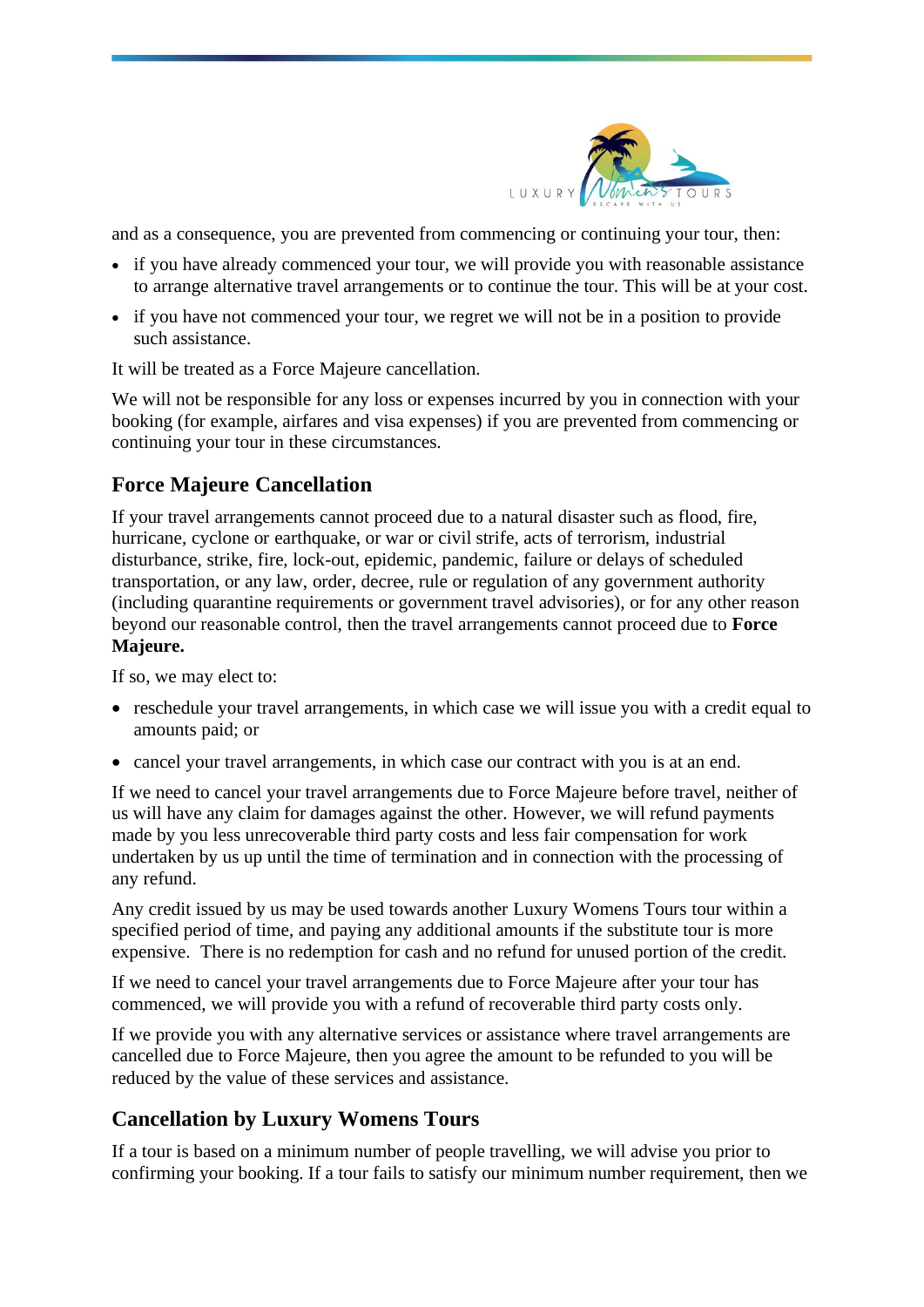

and as a consequence, you are prevented from commencing or continuing your tour, then:

- if you have already commenced your tour, we will provide you with reasonable assistance to arrange alternative travel arrangements or to continue the tour. This will be at your cost.
- if you have not commenced your tour, we regret we will not be in a position to provide such assistance.

It will be treated as a Force Majeure cancellation.

We will not be responsible for any loss or expenses incurred by you in connection with your booking (for example, airfares and visa expenses) if you are prevented from commencing or continuing your tour in these circumstances.

## **Force Majeure Cancellation**

If your travel arrangements cannot proceed due to a natural disaster such as flood, fire, hurricane, cyclone or earthquake, or war or civil strife, acts of terrorism, industrial disturbance, strike, fire, lock-out, epidemic, pandemic, failure or delays of scheduled transportation, or any law, order, decree, rule or regulation of any government authority (including quarantine requirements or government travel advisories), or for any other reason beyond our reasonable control, then the travel arrangements cannot proceed due to **Force Majeure.** 

If so, we may elect to:

- reschedule your travel arrangements, in which case we will issue you with a credit equal to amounts paid; or
- cancel your travel arrangements, in which case our contract with you is at an end.

If we need to cancel your travel arrangements due to Force Majeure before travel, neither of us will have any claim for damages against the other. However, we will refund payments made by you less unrecoverable third party costs and less fair compensation for work undertaken by us up until the time of termination and in connection with the processing of any refund.

Any credit issued by us may be used towards another Luxury Womens Tours tour within a specified period of time, and paying any additional amounts if the substitute tour is more expensive. There is no redemption for cash and no refund for unused portion of the credit.

If we need to cancel your travel arrangements due to Force Majeure after your tour has commenced, we will provide you with a refund of recoverable third party costs only.

If we provide you with any alternative services or assistance where travel arrangements are cancelled due to Force Majeure, then you agree the amount to be refunded to you will be reduced by the value of these services and assistance.

# **Cancellation by Luxury Womens Tours**

If a tour is based on a minimum number of people travelling, we will advise you prior to confirming your booking. If a tour fails to satisfy our minimum number requirement, then we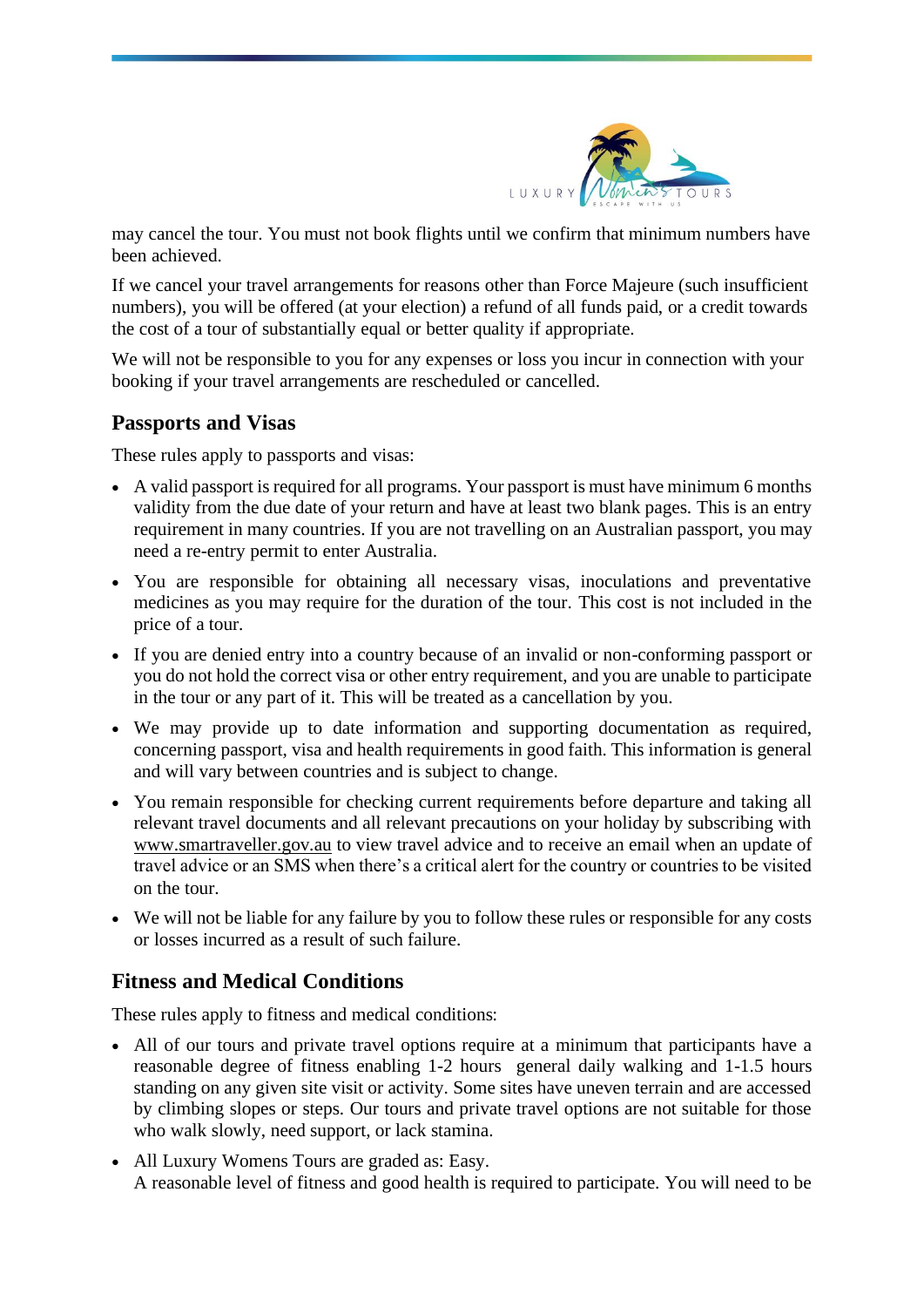

may cancel the tour. You must not book flights until we confirm that minimum numbers have been achieved.

If we cancel your travel arrangements for reasons other than Force Majeure (such insufficient numbers), you will be offered (at your election) a refund of all funds paid, or a credit towards the cost of a tour of substantially equal or better quality if appropriate.

We will not be responsible to you for any expenses or loss you incur in connection with your booking if your travel arrangements are rescheduled or cancelled.

## **Passports and Visas**

These rules apply to passports and visas:

- A valid passport is required for all programs. Your passport is must have minimum 6 months validity from the due date of your return and have at least two blank pages. This is an entry requirement in many countries. If you are not travelling on an Australian passport, you may need a re-entry permit to enter Australia.
- You are responsible for obtaining all necessary visas, inoculations and preventative medicines as you may require for the duration of the tour. This cost is not included in the price of a tour.
- If you are denied entry into a country because of an invalid or non-conforming passport or you do not hold the correct visa or other entry requirement, and you are unable to participate in the tour or any part of it. This will be treated as a cancellation by you.
- We may provide up to date information and supporting documentation as required, concerning passport, visa and health requirements in good faith. This information is general and will vary between countries and is subject to change.
- You remain responsible for checking current requirements before departure and taking all relevant travel documents and all relevant precautions on your holiday by subscribing with [www.smartraveller.gov.au](http://www.smartraveller.gov.au/) to view travel advice and to receive an email when an update of travel advice or an SMS when there's a critical alert for the country or countries to be visited on the tour.
- We will not be liable for any failure by you to follow these rules or responsible for any costs or losses incurred as a result of such failure.

# **Fitness and Medical Conditions**

These rules apply to fitness and medical conditions:

- All of our tours and private travel options require at a minimum that participants have a reasonable degree of fitness enabling 1-2 hours general daily walking and 1-1.5 hours standing on any given site visit or activity. Some sites have uneven terrain and are accessed by climbing slopes or steps. Our tours and private travel options are not suitable for those who walk slowly, need support, or lack stamina.
- All Luxury Womens Tours are graded as: Easy. A reasonable level of fitness and good health is required to participate. You will need to be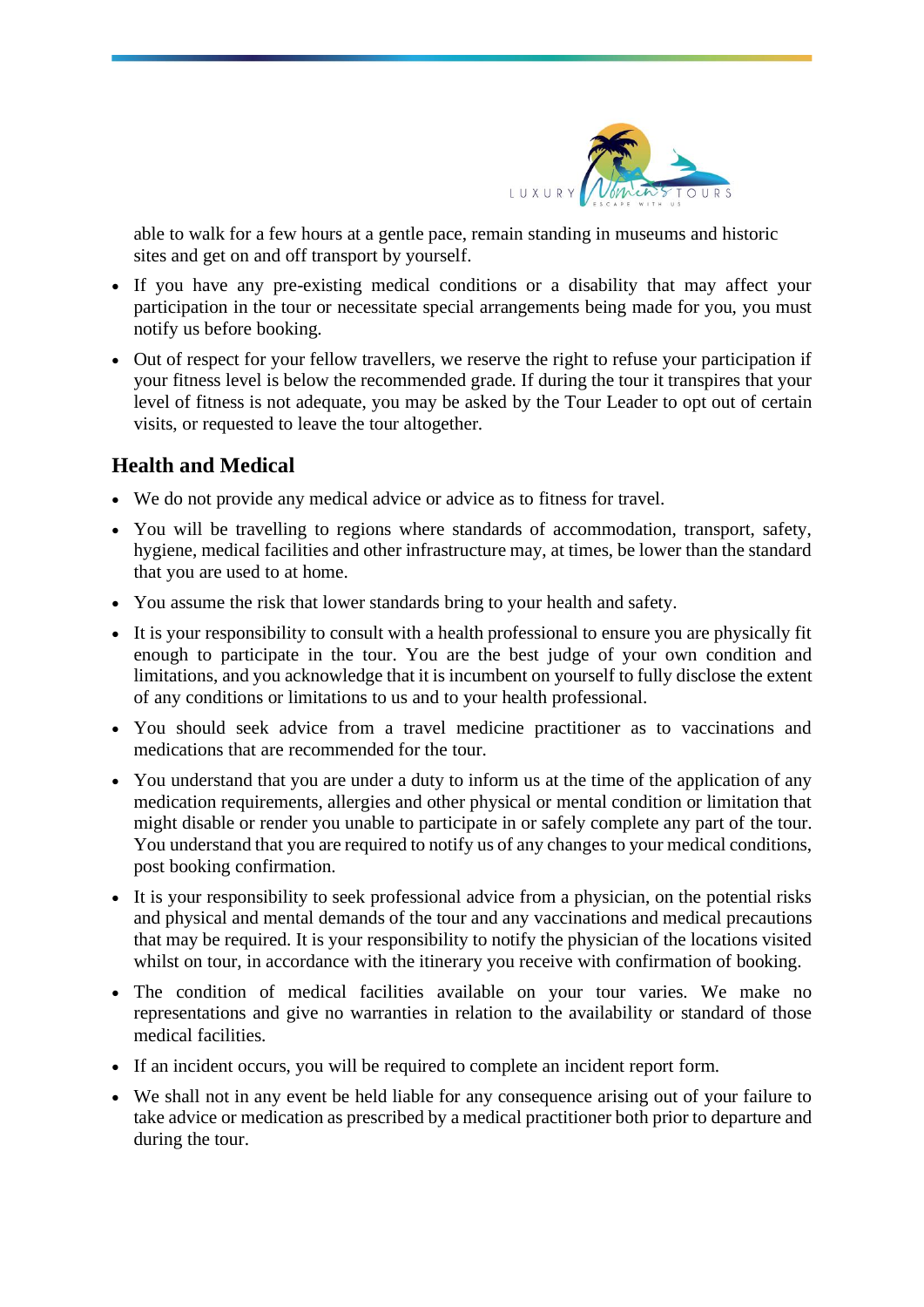

able to walk for a few hours at a gentle pace, remain standing in museums and historic sites and get on and off transport by yourself.

- If you have any pre-existing medical conditions or a disability that may affect your participation in the tour or necessitate special arrangements being made for you, you must notify us before booking.
- Out of respect for your fellow travellers, we reserve the right to refuse your participation if your fitness level is below the recommended grade. If during the tour it transpires that your level of fitness is not adequate, you may be asked by the Tour Leader to opt out of certain visits, or requested to leave the tour altogether.

# **Health and Medical**

- We do not provide any medical advice or advice as to fitness for travel.
- You will be travelling to regions where standards of accommodation, transport, safety, hygiene, medical facilities and other infrastructure may, at times, be lower than the standard that you are used to at home.
- You assume the risk that lower standards bring to your health and safety.
- It is your responsibility to consult with a health professional to ensure you are physically fit enough to participate in the tour. You are the best judge of your own condition and limitations, and you acknowledge that it is incumbent on yourself to fully disclose the extent of any conditions or limitations to us and to your health professional.
- You should seek advice from a travel medicine practitioner as to vaccinations and medications that are recommended for the tour.
- You understand that you are under a duty to inform us at the time of the application of any medication requirements, allergies and other physical or mental condition or limitation that might disable or render you unable to participate in or safely complete any part of the tour. You understand that you are required to notify us of any changes to your medical conditions, post booking confirmation.
- It is your responsibility to seek professional advice from a physician, on the potential risks and physical and mental demands of the tour and any vaccinations and medical precautions that may be required. It is your responsibility to notify the physician of the locations visited whilst on tour, in accordance with the itinerary you receive with confirmation of booking.
- The condition of medical facilities available on your tour varies. We make no representations and give no warranties in relation to the availability or standard of those medical facilities.
- If an incident occurs, you will be required to complete an incident report form.
- We shall not in any event be held liable for any consequence arising out of your failure to take advice or medication as prescribed by a medical practitioner both prior to departure and during the tour.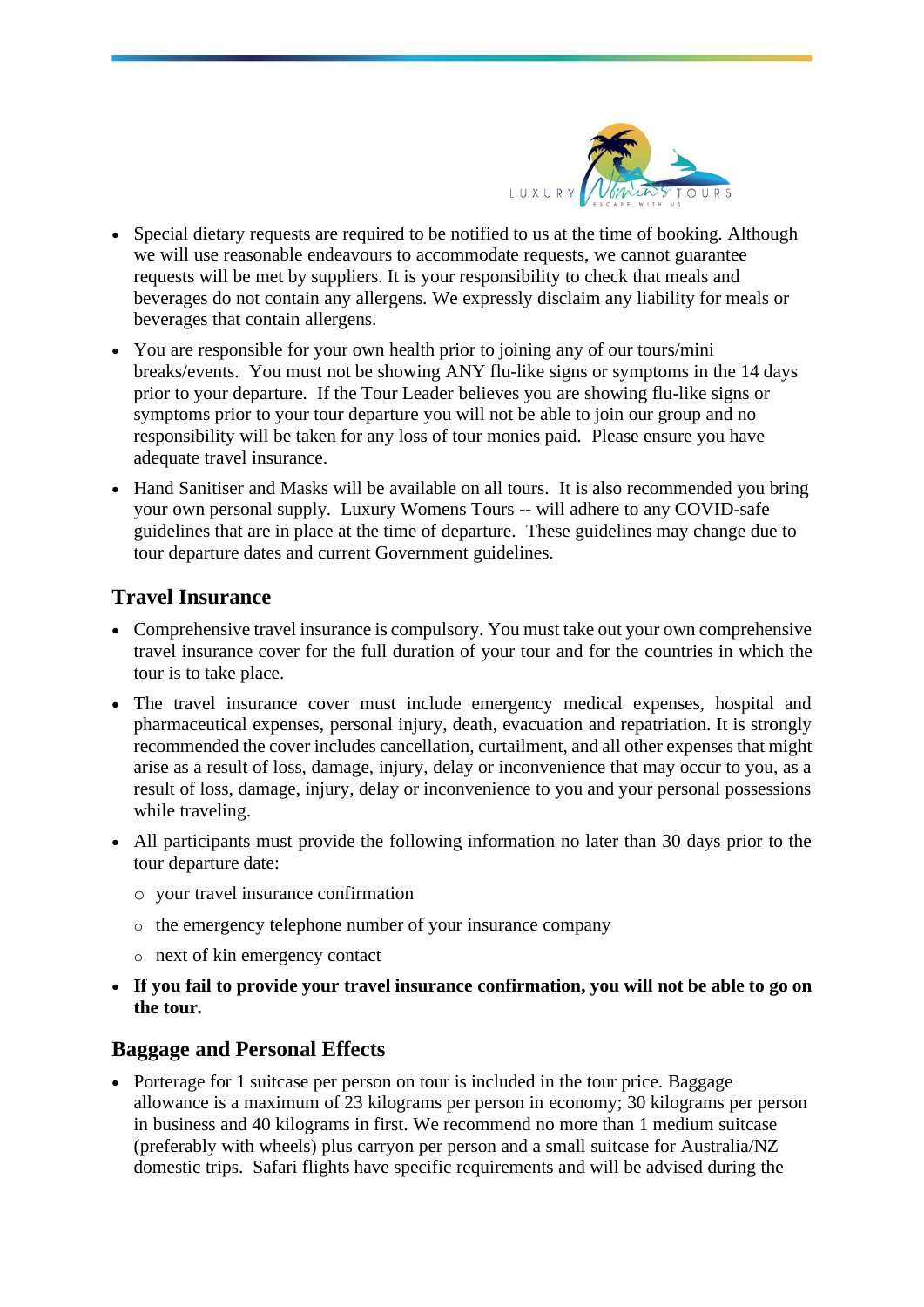

- Special dietary requests are required to be notified to us at the time of booking. Although we will use reasonable endeavours to accommodate requests, we cannot guarantee requests will be met by suppliers. It is your responsibility to check that meals and beverages do not contain any allergens. We expressly disclaim any liability for meals or beverages that contain allergens.
- You are responsible for your own health prior to joining any of our tours/mini breaks/events. You must not be showing ANY flu-like signs or symptoms in the 14 days prior to your departure. If the Tour Leader believes you are showing flu-like signs or symptoms prior to your tour departure you will not be able to join our group and no responsibility will be taken for any loss of tour monies paid. Please ensure you have adequate travel insurance.
- Hand Sanitiser and Masks will be available on all tours. It is also recommended you bring your own personal supply. Luxury Womens Tours -- will adhere to any COVID-safe guidelines that are in place at the time of departure. These guidelines may change due to tour departure dates and current Government guidelines.

# **Travel Insurance**

- Comprehensive travel insurance is compulsory. You must take out your own comprehensive travel insurance cover for the full duration of your tour and for the countries in which the tour is to take place.
- The travel insurance cover must include emergency medical expenses, hospital and pharmaceutical expenses, personal injury, death, evacuation and repatriation. It is strongly recommended the cover includes cancellation, curtailment, and all other expenses that might arise as a result of loss, damage, injury, delay or inconvenience that may occur to you, as a result of loss, damage, injury, delay or inconvenience to you and your personal possessions while traveling.
- All participants must provide the following information no later than 30 days prior to the tour departure date:
	- o your travel insurance confirmation
	- o the emergency telephone number of your insurance company
	- o next of kin emergency contact
- **If you fail to provide your travel insurance confirmation, you will not be able to go on the tour.**

## **Baggage and Personal Effects**

• Porterage for 1 suitcase per person on tour is included in the tour price. Baggage allowance is a maximum of 23 kilograms per person in economy; 30 kilograms per person in business and 40 kilograms in first. We recommend no more than 1 medium suitcase (preferably with wheels) plus carryon per person and a small suitcase for Australia/NZ domestic trips. Safari flights have specific requirements and will be advised during the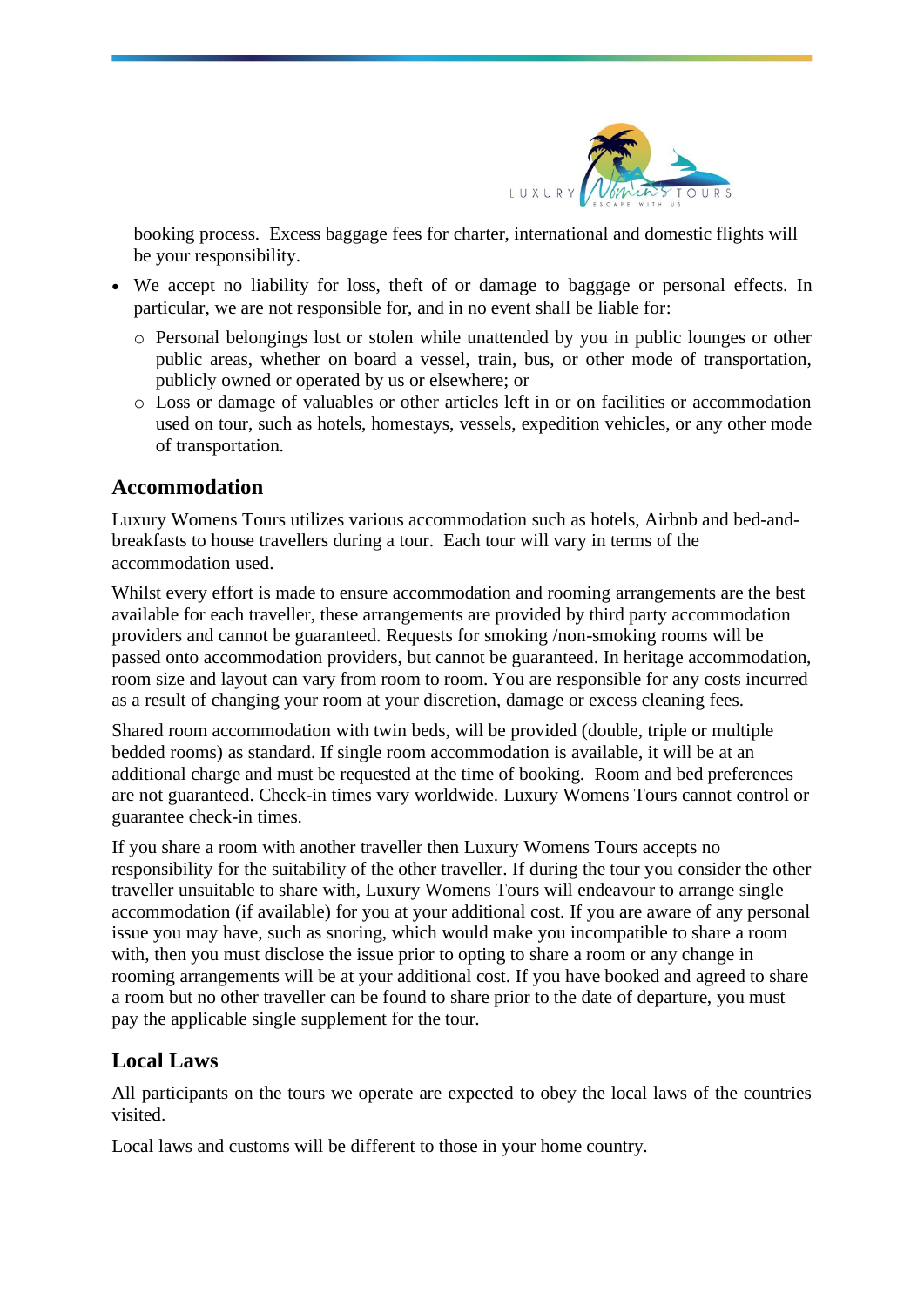

booking process. Excess baggage fees for charter, international and domestic flights will be your responsibility.

- We accept no liability for loss, theft of or damage to baggage or personal effects. In particular, we are not responsible for, and in no event shall be liable for:
	- o Personal belongings lost or stolen while unattended by you in public lounges or other public areas, whether on board a vessel, train, bus, or other mode of transportation, publicly owned or operated by us or elsewhere; or
	- o Loss or damage of valuables or other articles left in or on facilities or accommodation used on tour, such as hotels, homestays, vessels, expedition vehicles, or any other mode of transportation.

## **Accommodation**

Luxury Womens Tours utilizes various accommodation such as hotels, Airbnb and bed-andbreakfasts to house travellers during a tour. Each tour will vary in terms of the accommodation used.

Whilst every effort is made to ensure accommodation and rooming arrangements are the best available for each traveller, these arrangements are provided by third party accommodation providers and cannot be guaranteed. Requests for smoking /non-smoking rooms will be passed onto accommodation providers, but cannot be guaranteed. In heritage accommodation, room size and layout can vary from room to room. You are responsible for any costs incurred as a result of changing your room at your discretion, damage or excess cleaning fees.

Shared room accommodation with twin beds, will be provided (double, triple or multiple bedded rooms) as standard. If single room accommodation is available, it will be at an additional charge and must be requested at the time of booking. Room and bed preferences are not guaranteed. Check-in times vary worldwide. Luxury Womens Tours cannot control or guarantee check-in times.

If you share a room with another traveller then Luxury Womens Tours accepts no responsibility for the suitability of the other traveller. If during the tour you consider the other traveller unsuitable to share with, Luxury Womens Tours will endeavour to arrange single accommodation (if available) for you at your additional cost. If you are aware of any personal issue you may have, such as snoring, which would make you incompatible to share a room with, then you must disclose the issue prior to opting to share a room or any change in rooming arrangements will be at your additional cost. If you have booked and agreed to share a room but no other traveller can be found to share prior to the date of departure, you must pay the applicable single supplement for the tour.

# **Local Laws**

All participants on the tours we operate are expected to obey the local laws of the countries visited.

Local laws and customs will be different to those in your home country.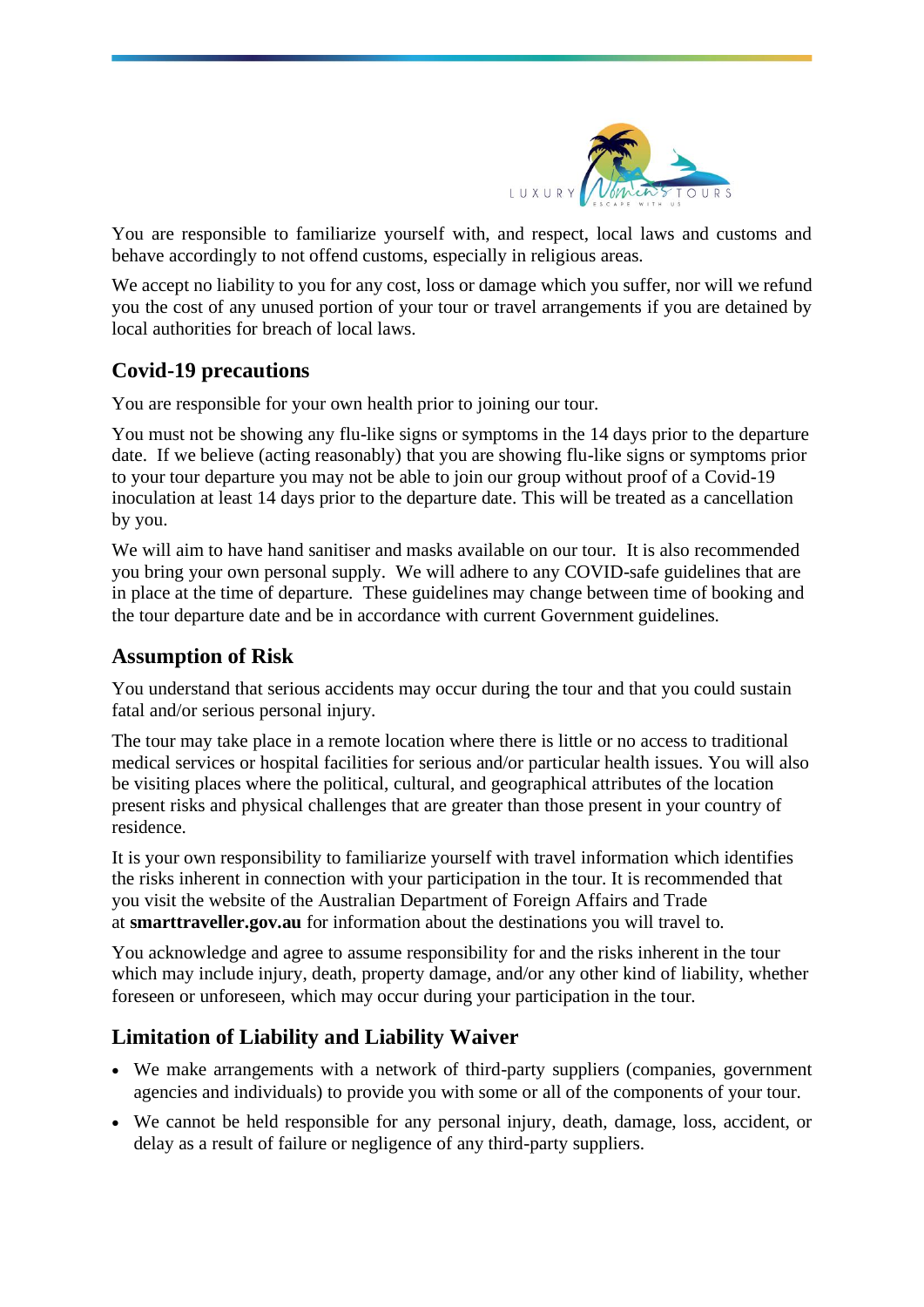

You are responsible to familiarize yourself with, and respect, local laws and customs and behave accordingly to not offend customs, especially in religious areas.

We accept no liability to you for any cost, loss or damage which you suffer, nor will we refund you the cost of any unused portion of your tour or travel arrangements if you are detained by local authorities for breach of local laws.

# **Covid-19 precautions**

You are responsible for your own health prior to joining our tour.

You must not be showing any flu-like signs or symptoms in the 14 days prior to the departure date. If we believe (acting reasonably) that you are showing flu-like signs or symptoms prior to your tour departure you may not be able to join our group without proof of a Covid-19 inoculation at least 14 days prior to the departure date. This will be treated as a cancellation by you.

We will aim to have hand sanitiser and masks available on our tour. It is also recommended you bring your own personal supply. We will adhere to any COVID-safe guidelines that are in place at the time of departure. These guidelines may change between time of booking and the tour departure date and be in accordance with current Government guidelines.

## **Assumption of Risk**

You understand that serious accidents may occur during the tour and that you could sustain fatal and/or serious personal injury.

The tour may take place in a remote location where there is little or no access to traditional medical services or hospital facilities for serious and/or particular health issues. You will also be visiting places where the political, cultural, and geographical attributes of the location present risks and physical challenges that are greater than those present in your country of residence.

It is your own responsibility to familiarize yourself with travel information which identifies the risks inherent in connection with your participation in the tour. It is recommended that you visit the website of the Australian Department of Foreign Affairs and Trade at **smarttraveller.gov.au** for information about the destinations you will travel to.

You acknowledge and agree to assume responsibility for and the risks inherent in the tour which may include injury, death, property damage, and/or any other kind of liability, whether foreseen or unforeseen, which may occur during your participation in the tour.

# **Limitation of Liability and Liability Waiver**

- We make arrangements with a network of third-party suppliers (companies, government agencies and individuals) to provide you with some or all of the components of your tour.
- We cannot be held responsible for any personal injury, death, damage, loss, accident, or delay as a result of failure or negligence of any third-party suppliers.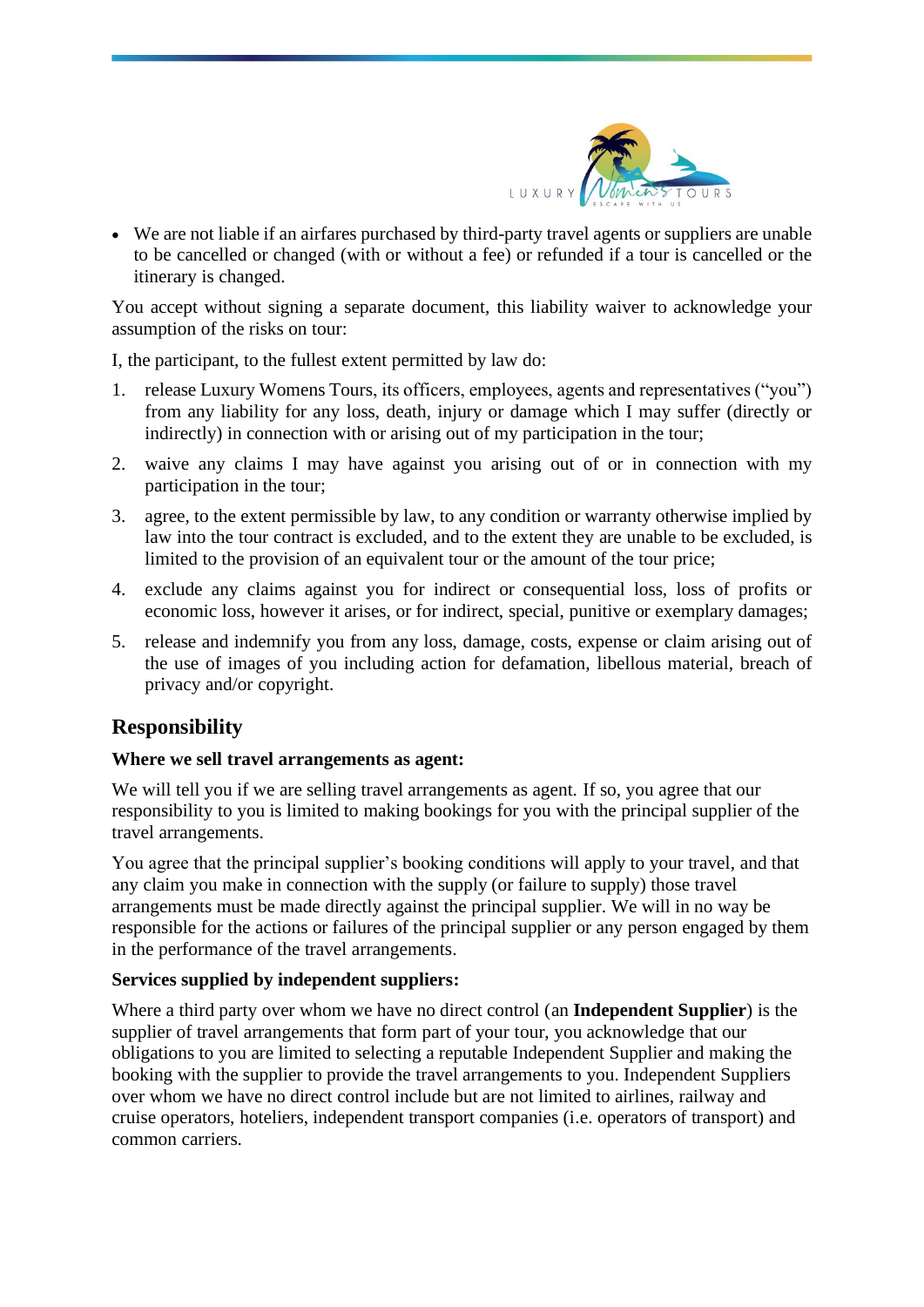

• We are not liable if an airfares purchased by third-party travel agents or suppliers are unable to be cancelled or changed (with or without a fee) or refunded if a tour is cancelled or the itinerary is changed.

You accept without signing a separate document, this liability waiver to acknowledge your assumption of the risks on tour:

I, the participant, to the fullest extent permitted by law do:

- 1. release Luxury Womens Tours, its officers, employees, agents and representatives ("you") from any liability for any loss, death, injury or damage which I may suffer (directly or indirectly) in connection with or arising out of my participation in the tour;
- 2. waive any claims I may have against you arising out of or in connection with my participation in the tour;
- 3. agree, to the extent permissible by law, to any condition or warranty otherwise implied by law into the tour contract is excluded, and to the extent they are unable to be excluded, is limited to the provision of an equivalent tour or the amount of the tour price;
- 4. exclude any claims against you for indirect or consequential loss, loss of profits or economic loss, however it arises, or for indirect, special, punitive or exemplary damages;
- 5. release and indemnify you from any loss, damage, costs, expense or claim arising out of the use of images of you including action for defamation, libellous material, breach of privacy and/or copyright.

## **Responsibility**

#### **Where we sell travel arrangements as agent:**

We will tell you if we are selling travel arrangements as agent. If so, you agree that our responsibility to you is limited to making bookings for you with the principal supplier of the travel arrangements.

You agree that the principal supplier's booking conditions will apply to your travel, and that any claim you make in connection with the supply (or failure to supply) those travel arrangements must be made directly against the principal supplier. We will in no way be responsible for the actions or failures of the principal supplier or any person engaged by them in the performance of the travel arrangements.

#### **Services supplied by independent suppliers:**

Where a third party over whom we have no direct control (an **Independent Supplier**) is the supplier of travel arrangements that form part of your tour, you acknowledge that our obligations to you are limited to selecting a reputable Independent Supplier and making the booking with the supplier to provide the travel arrangements to you. Independent Suppliers over whom we have no direct control include but are not limited to airlines, railway and cruise operators, hoteliers, independent transport companies (i.e. operators of transport) and common carriers.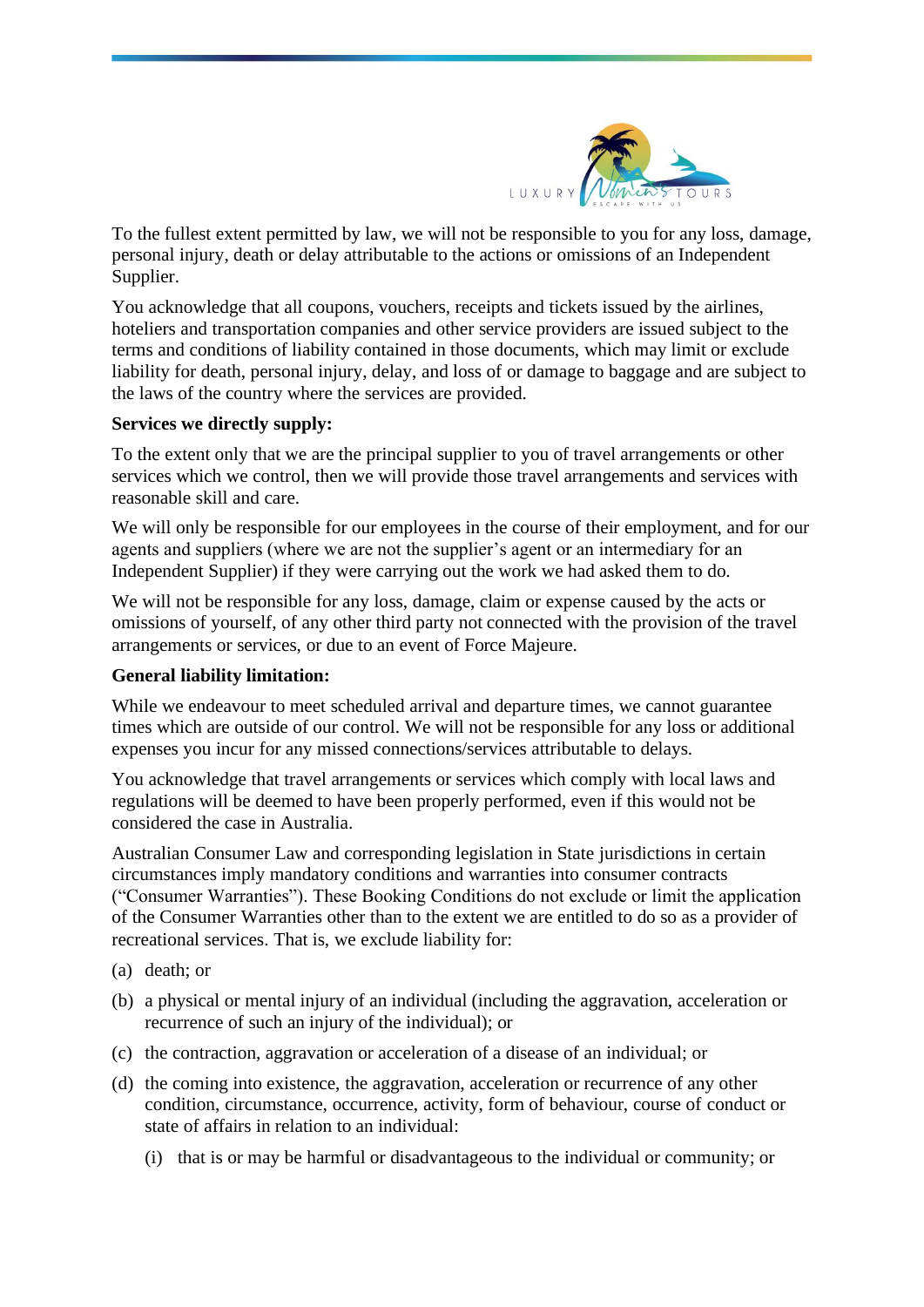

To the fullest extent permitted by law, we will not be responsible to you for any loss, damage, personal injury, death or delay attributable to the actions or omissions of an Independent Supplier.

You acknowledge that all coupons, vouchers, receipts and tickets issued by the airlines, hoteliers and transportation companies and other service providers are issued subject to the terms and conditions of liability contained in those documents, which may limit or exclude liability for death, personal injury, delay, and loss of or damage to baggage and are subject to the laws of the country where the services are provided.

#### **Services we directly supply:**

To the extent only that we are the principal supplier to you of travel arrangements or other services which we control, then we will provide those travel arrangements and services with reasonable skill and care.

We will only be responsible for our employees in the course of their employment, and for our agents and suppliers (where we are not the supplier's agent or an intermediary for an Independent Supplier) if they were carrying out the work we had asked them to do.

We will not be responsible for any loss, damage, claim or expense caused by the acts or omissions of yourself, of any other third party not connected with the provision of the travel arrangements or services, or due to an event of Force Majeure.

#### **General liability limitation:**

While we endeavour to meet scheduled arrival and departure times, we cannot guarantee times which are outside of our control. We will not be responsible for any loss or additional expenses you incur for any missed connections/services attributable to delays.

You acknowledge that travel arrangements or services which comply with local laws and regulations will be deemed to have been properly performed, even if this would not be considered the case in Australia.

Australian Consumer Law and corresponding legislation in State jurisdictions in certain circumstances imply mandatory conditions and warranties into consumer contracts ("Consumer Warranties"). These Booking Conditions do not exclude or limit the application of the Consumer Warranties other than to the extent we are entitled to do so as a provider of recreational services. That is, we exclude liability for:

- (a) death; or
- (b) a physical or mental injury of an individual (including the aggravation, acceleration or recurrence of such an injury of the individual); or
- (c) the contraction, aggravation or acceleration of a disease of an individual; or
- (d) the coming into existence, the aggravation, acceleration or recurrence of any other condition, circumstance, occurrence, activity, form of behaviour, course of conduct or state of affairs in relation to an individual:
	- (i) that is or may be harmful or disadvantageous to the individual or community; or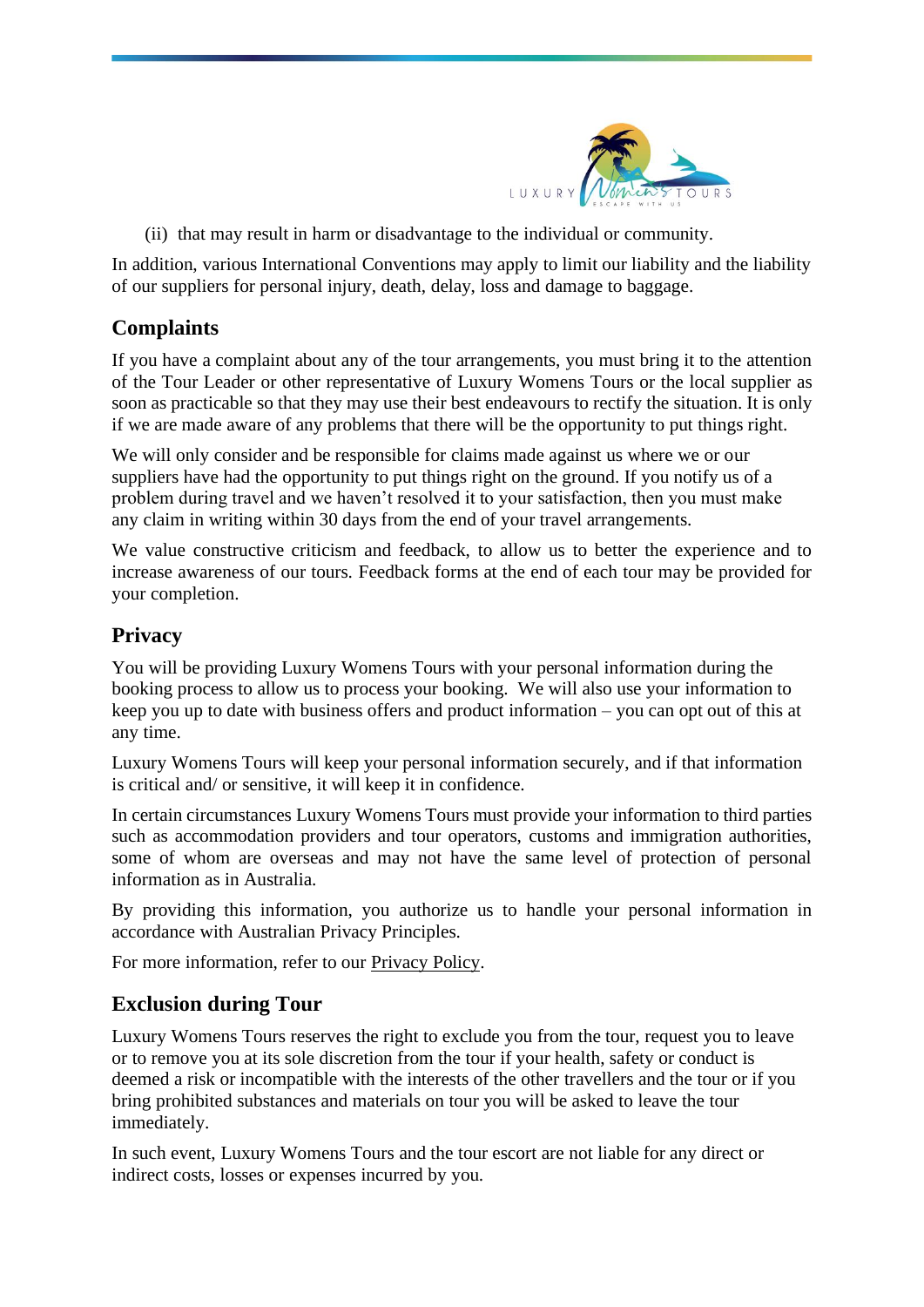

(ii) that may result in harm or disadvantage to the individual or community.

In addition, various International Conventions may apply to limit our liability and the liability of our suppliers for personal injury, death, delay, loss and damage to baggage.

# **Complaints**

If you have a complaint about any of the tour arrangements, you must bring it to the attention of the Tour Leader or other representative of Luxury Womens Tours or the local supplier as soon as practicable so that they may use their best endeavours to rectify the situation. It is only if we are made aware of any problems that there will be the opportunity to put things right.

We will only consider and be responsible for claims made against us where we or our suppliers have had the opportunity to put things right on the ground. If you notify us of a problem during travel and we haven't resolved it to your satisfaction, then you must make any claim in writing within 30 days from the end of your travel arrangements.

We value constructive criticism and feedback, to allow us to better the experience and to increase awareness of our tours. Feedback forms at the end of each tour may be provided for your completion.

# **Privacy**

You will be providing Luxury Womens Tours with your personal information during the booking process to allow us to process your booking. We will also use your information to keep you up to date with business offers and product information – you can opt out of this at any time.

Luxury Womens Tours will keep your personal information securely, and if that information is critical and/ or sensitive, it will keep it in confidence.

In certain circumstances Luxury Womens Tours must provide your information to third parties such as accommodation providers and tour operators, customs and immigration authorities, some of whom are overseas and may not have the same level of protection of personal information as in Australia.

By providing this information, you authorize us to handle your personal information in accordance with Australian Privacy Principles.

For more information, refer to our [Privacy](http://www.arcadiaexpeditions.com/privacy-policy/) Policy.

# **Exclusion during Tour**

Luxury Womens Tours reserves the right to exclude you from the tour, request you to leave or to remove you at its sole discretion from the tour if your health, safety or conduct is deemed a risk or incompatible with the interests of the other travellers and the tour or if you bring prohibited substances and materials on tour you will be asked to leave the tour immediately.

In such event, Luxury Womens Tours and the tour escort are not liable for any direct or indirect costs, losses or expenses incurred by you.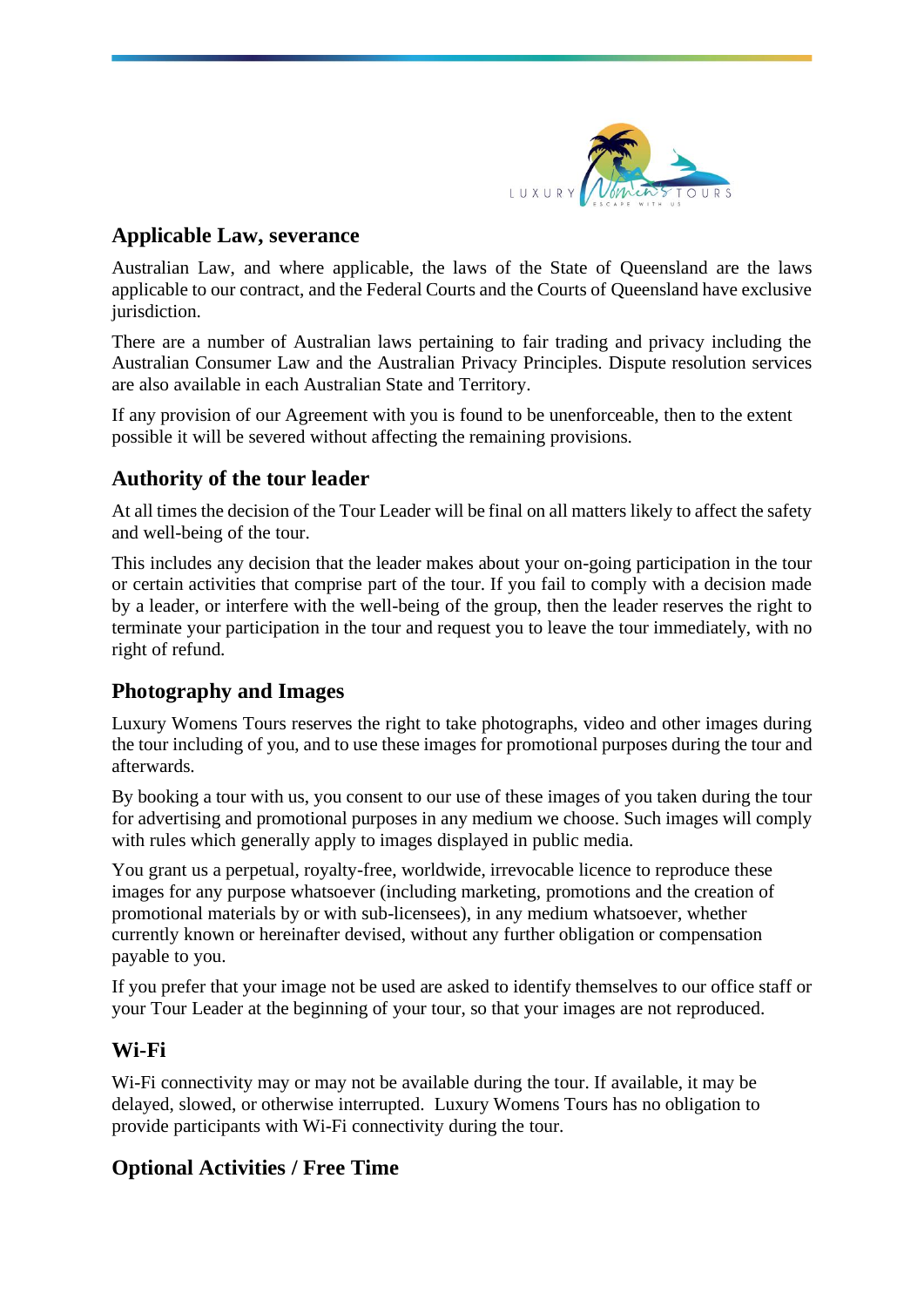

## **Applicable Law, severance**

Australian Law, and where applicable, the laws of the State of Queensland are the laws applicable to our contract, and the Federal Courts and the Courts of Queensland have exclusive jurisdiction.

There are a number of Australian laws pertaining to fair trading and privacy including the Australian Consumer Law and the Australian Privacy Principles. Dispute resolution services are also available in each Australian State and Territory.

If any provision of our Agreement with you is found to be unenforceable, then to the extent possible it will be severed without affecting the remaining provisions.

# **Authority of the tour leader**

At all times the decision of the Tour Leader will be final on all matters likely to affect the safety and well-being of the tour.

This includes any decision that the leader makes about your on-going participation in the tour or certain activities that comprise part of the tour. If you fail to comply with a decision made by a leader, or interfere with the well-being of the group, then the leader reserves the right to terminate your participation in the tour and request you to leave the tour immediately, with no right of refund.

# **Photography and Images**

Luxury Womens Tours reserves the right to take photographs, video and other images during the tour including of you, and to use these images for promotional purposes during the tour and afterwards.

By booking a tour with us, you consent to our use of these images of you taken during the tour for advertising and promotional purposes in any medium we choose. Such images will comply with rules which generally apply to images displayed in public media.

You grant us a perpetual, royalty-free, worldwide, irrevocable licence to reproduce these images for any purpose whatsoever (including marketing, promotions and the creation of promotional materials by or with sub-licensees), in any medium whatsoever, whether currently known or hereinafter devised, without any further obligation or compensation payable to you.

If you prefer that your image not be used are asked to identify themselves to our office staff or your Tour Leader at the beginning of your tour, so that your images are not reproduced.

# **Wi-Fi**

Wi-Fi connectivity may or may not be available during the tour. If available, it may be delayed, slowed, or otherwise interrupted. Luxury Womens Tours has no obligation to provide participants with Wi-Fi connectivity during the tour.

# **Optional Activities / Free Time**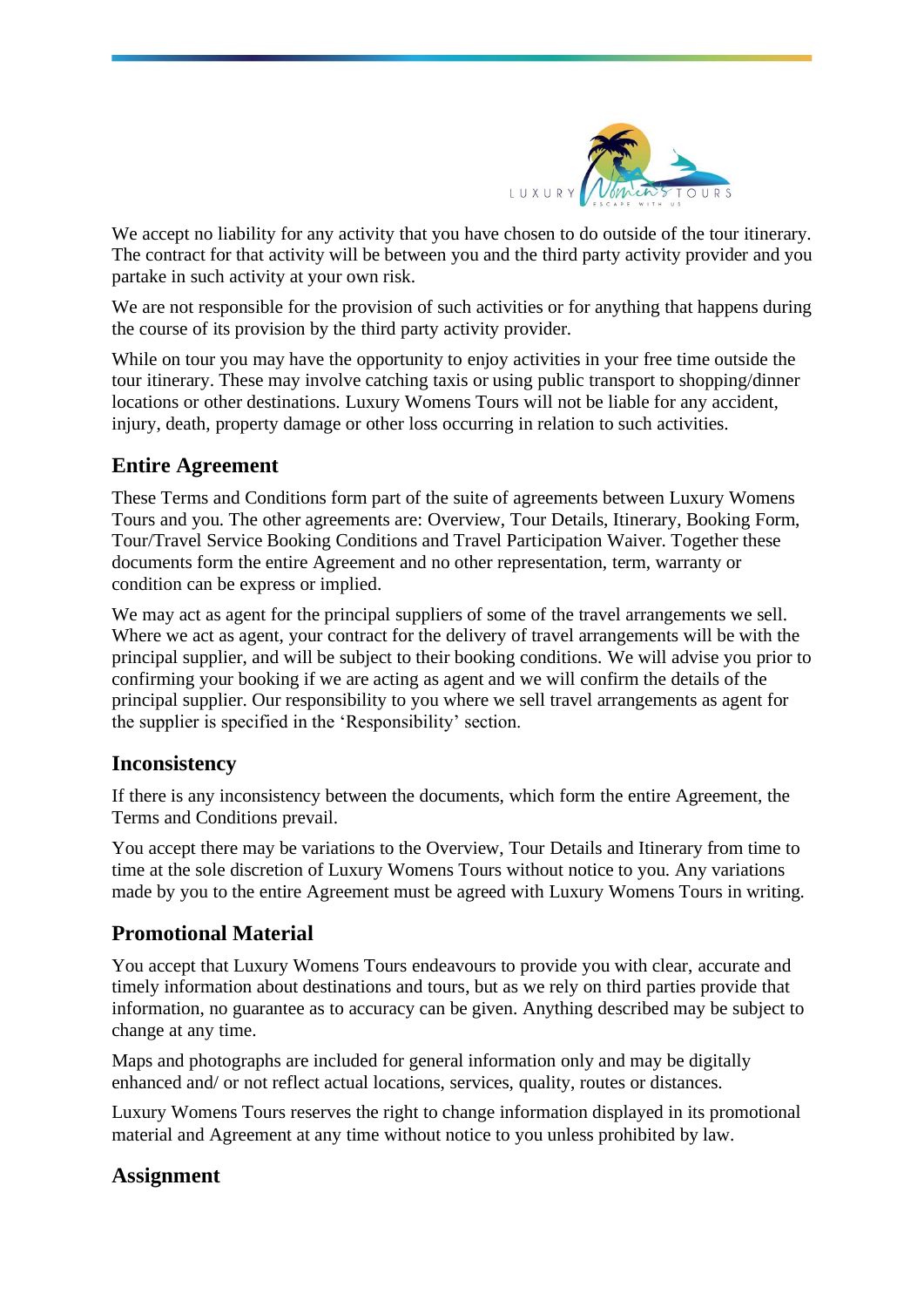

We accept no liability for any activity that you have chosen to do outside of the tour itinerary. The contract for that activity will be between you and the third party activity provider and you partake in such activity at your own risk.

We are not responsible for the provision of such activities or for anything that happens during the course of its provision by the third party activity provider.

While on tour you may have the opportunity to enjoy activities in your free time outside the tour itinerary. These may involve catching taxis or using public transport to shopping/dinner locations or other destinations. Luxury Womens Tours will not be liable for any accident, injury, death, property damage or other loss occurring in relation to such activities.

# **Entire Agreement**

These Terms and Conditions form part of the suite of agreements between Luxury Womens Tours and you. The other agreements are: Overview, Tour Details, Itinerary, Booking Form, Tour/Travel Service Booking Conditions and Travel Participation Waiver. Together these documents form the entire Agreement and no other representation, term, warranty or condition can be express or implied.

We may act as agent for the principal suppliers of some of the travel arrangements we sell. Where we act as agent, your contract for the delivery of travel arrangements will be with the principal supplier, and will be subject to their booking conditions. We will advise you prior to confirming your booking if we are acting as agent and we will confirm the details of the principal supplier. Our responsibility to you where we sell travel arrangements as agent for the supplier is specified in the 'Responsibility' section.

## **Inconsistency**

If there is any inconsistency between the documents, which form the entire Agreement, the Terms and Conditions prevail.

You accept there may be variations to the Overview, Tour Details and Itinerary from time to time at the sole discretion of Luxury Womens Tours without notice to you. Any variations made by you to the entire Agreement must be agreed with Luxury Womens Tours in writing.

# **Promotional Material**

You accept that Luxury Womens Tours endeavours to provide you with clear, accurate and timely information about destinations and tours, but as we rely on third parties provide that information, no guarantee as to accuracy can be given. Anything described may be subject to change at any time.

Maps and photographs are included for general information only and may be digitally enhanced and/ or not reflect actual locations, services, quality, routes or distances.

Luxury Womens Tours reserves the right to change information displayed in its promotional material and Agreement at any time without notice to you unless prohibited by law.

## **Assignment**